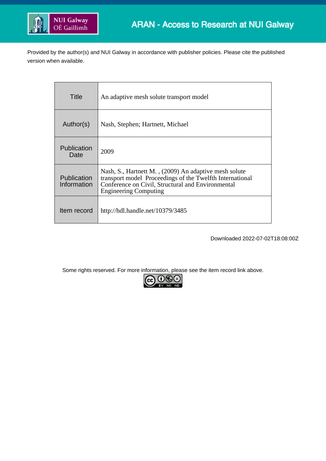

Provided by the author(s) and NUI Galway in accordance with publisher policies. Please cite the published version when available.

| Title                             | An adaptive mesh solute transport model                                                                                                                                                                |
|-----------------------------------|--------------------------------------------------------------------------------------------------------------------------------------------------------------------------------------------------------|
| Author(s)                         | Nash, Stephen; Hartnett, Michael                                                                                                                                                                       |
| Publication<br>Date               | 2009                                                                                                                                                                                                   |
| <b>Publication</b><br>Information | Nash, S., Hartnett M., (2009) An adaptive mesh solute<br>transport model Proceedings of the Twelfth International<br>Conference on Civil, Structural and Environmental<br><b>Engineering Computing</b> |
| Item record                       | http://hdl.handle.net/10379/3485                                                                                                                                                                       |

Downloaded 2022-07-02T18:08:00Z

Some rights reserved. For more information, please see the item record link above.

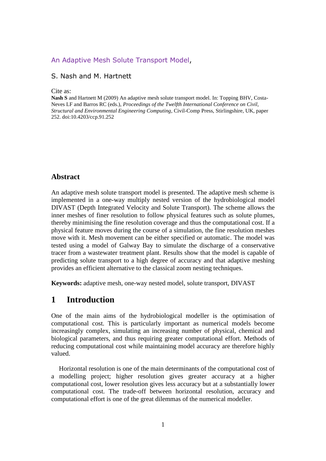#### [An Adaptive Mesh Solute Transport Model,](http://www.ctresources.info/ccp/paper.html?id=5541)

### S. Nash and M. Hartnett

#### Cite as:

**Nash S** and Hartnett M (2009) An adaptive mesh solute transport model. In: Topping BHV, Costa-Neves LF and Barros RC (eds.), *Proceedings of the Twelfth International Conference on Civil, Structural and Environmental Engineering Computing*, Civil-Comp Press, Stirlingshire, UK, paper 252. doi:10.4203/ccp.91.252

### **Abstract**

An adaptive mesh solute transport model is presented. The adaptive mesh scheme is implemented in a one-way multiply nested version of the hydrobiological model DIVAST (Depth Integrated Velocity and Solute Transport). The scheme allows the inner meshes of finer resolution to follow physical features such as solute plumes, thereby minimising the fine resolution coverage and thus the computational cost. If a physical feature moves during the course of a simulation, the fine resolution meshes move with it. Mesh movement can be either specified or automatic. The model was tested using a model of Galway Bay to simulate the discharge of a conservative tracer from a wastewater treatment plant. Results show that the model is capable of predicting solute transport to a high degree of accuracy and that adaptive meshing provides an efficient alternative to the classical zoom nesting techniques.

**Keywords:** adaptive mesh, one-way nested model, solute transport, DIVAST

## **1 Introduction**

One of the main aims of the hydrobiological modeller is the optimisation of computational cost. This is particularly important as numerical models become increasingly complex, simulating an increasing number of physical, chemical and biological parameters, and thus requiring greater computational effort. Methods of reducing computational cost while maintaining model accuracy are therefore highly valued.

Horizontal resolution is one of the main determinants of the computational cost of a modelling project; higher resolution gives greater accuracy at a higher computational cost, lower resolution gives less accuracy but at a substantially lower computational cost. The trade-off between horizontal resolution, accuracy and computational effort is one of the great dilemmas of the numerical modeller.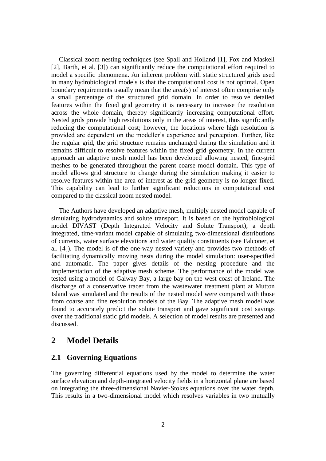Classical zoom nesting techniques (see Spall and Holland [1], Fox and Maskell [2], Barth, et al. [3]) can significantly reduce the computational effort required to model a specific phenomena. An inherent problem with static structured grids used in many hydrobiological models is that the computational cost is not optimal. Open boundary requirements usually mean that the area(s) of interest often comprise only a small percentage of the structured grid domain. In order to resolve detailed features within the fixed grid geometry it is necessary to increase the resolution across the whole domain, thereby significantly increasing computational effort. Nested grids provide high resolutions only in the areas of interest, thus significantly reducing the computational cost; however, the locations where high resolution is provided are dependent on the modeller's experience and perception. Further, like the regular grid, the grid structure remains unchanged during the simulation and it remains difficult to resolve features within the fixed grid geometry. In the current approach an adaptive mesh model has been developed allowing nested, fine-grid meshes to be generated throughout the parent coarse model domain. This type of model allows grid structure to change during the simulation making it easier to resolve features within the area of interest as the grid geometry is no longer fixed. This capability can lead to further significant reductions in computational cost compared to the classical zoom nested model.

The Authors have developed an adaptive mesh, multiply nested model capable of simulating hydrodynamics and solute transport. It is based on the hydrobiological model DIVAST (Depth Integrated Velocity and Solute Transport), a depth integrated, time-variant model capable of simulating two-dimensional distributions of currents, water surface elevations and water quality constituents (see Falconer, et al. [4]). The model is of the one-way nested variety and provides two methods of facilitating dynamically moving nests during the model simulation: user-specified and automatic. The paper gives details of the nesting procedure and the implementation of the adaptive mesh scheme. The performance of the model was tested using a model of Galway Bay, a large bay on the west coast of Ireland. The discharge of a conservative tracer from the wastewater treatment plant at Mutton Island was simulated and the results of the nested model were compared with those from coarse and fine resolution models of the Bay. The adaptive mesh model was found to accurately predict the solute transport and gave significant cost savings over the traditional static grid models. A selection of model results are presented and discussed.

# **2 Model Details**

### **2.1 Governing Equations**

The governing differential equations used by the model to determine the water surface elevation and depth-integrated velocity fields in a horizontal plane are based on integrating the three-dimensional Navier-Stokes equations over the water depth. This results in a two-dimensional model which resolves variables in two mutually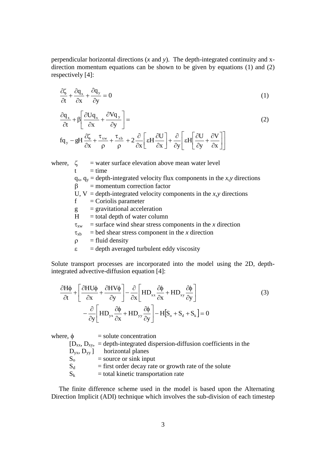perpendicular horizontal directions (*x* and *y*). The depth-integrated continuity and xdirection momentum equations can be shown to be given by equations (1) and (2) respectively [4]:

$$
\frac{\partial \zeta}{\partial t} + \frac{\partial q_x}{\partial x} + \frac{\partial q_y}{\partial y} = 0
$$
\n(1)

$$
\frac{\partial q_{x}}{\partial t} + \beta \left[ \frac{\partial U q_{x}}{\partial x} + \frac{\partial V q_{y}}{\partial y} \right] =
$$
\n
$$
fq_{y} - gH \frac{\partial \zeta}{\partial x} + \frac{\tau_{xw}}{\rho} + \frac{\tau_{xb}}{\rho} + 2 \frac{\partial}{\partial x} \left[ \varepsilon H \frac{\partial U}{\partial x} \right] + \frac{\partial}{\partial y} \left[ \varepsilon H \left[ \frac{\partial U}{\partial y} + \frac{\partial V}{\partial x} \right] \right]
$$
\n(2)

where,  $\zeta$  = water surface elevation above mean water level  $t = time$  $q_x$ ,  $q_y$  = depth-integrated velocity flux components in the *x*,*y* directions  $\beta$  = momentum correction factor U,  $V =$  depth-integrated velocity components in the *x*,*y* directions  $f =$ Coriolis parameter  $g =$  gravitational acceleration  $H =$  total depth of water column  $\tau_{xw}$  = surface wind shear stress components in the *x* direction  $\tau_{xb}$  = bed shear stress component in the *x* direction  $\rho$  = fluid density  $\epsilon$  = depth averaged turbulent eddy viscosity

Solute transport processes are incorporated into the model using the 2D, depthintegrated advective-diffusion equation [4]:

$$
\frac{\partial H\phi}{\partial t} + \left[ \frac{\partial HU\phi}{\partial x} + \frac{\partial HV\phi}{\partial y} \right] - \frac{\partial}{\partial x} \left[ HD_{xx} \frac{\partial \phi}{\partial x} + HD_{xy} \frac{\partial \phi}{\partial y} \right] - \frac{\partial}{\partial y} \left[ HD_{yx} \frac{\partial \phi}{\partial x} + HD_{yy} \frac{\partial \phi}{\partial y} \right] - H[S_0 + S_d + S_k] = 0
$$
\n(3)

where,  $\phi$  = solute concentration  $[D_{xx}, D_{xy}, =$  depth-integrated dispersion-diffusion coefficients in the  $D_{yx}$ ,  $D_{yy}$ ] horizontal planes  $S_0$  = source or sink input  $S_d$  = first order decay rate or growth rate of the solute  $S_k$  = total kinetic transportation rate

The finite difference scheme used in the model is based upon the Alternating Direction Implicit (ADI) technique which involves the sub-division of each timestep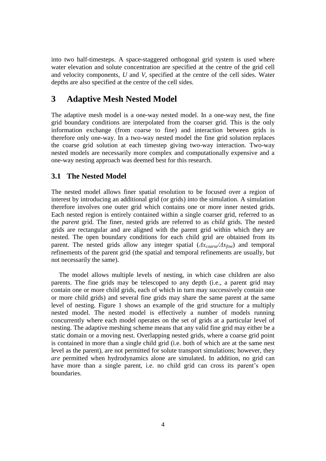into two half-timesteps. A space-staggered orthogonal grid system is used where water elevation and solute concentration are specified at the centre of the grid cell and velocity components, *U* and *V*, specified at the centre of the cell sides. Water depths are also specified at the centre of the cell sides.

# **3 Adaptive Mesh Nested Model**

The adaptive mesh model is a one-way nested model. In a one-way nest, the fine grid boundary conditions are interpolated from the coarser grid. This is the only information exchange (from coarse to fine) and interaction between grids is therefore only one-way. In a two-way nested model the fine grid solution replaces the coarse grid solution at each timestep giving two-way interaction. Two-way nested models are necessarily more complex and computationally expensive and a one-way nesting approach was deemed best for this research.

### **3.1 The Nested Model**

The nested model allows finer spatial resolution to be focused over a region of interest by introducing an additional grid (or grids) into the simulation. A simulation therefore involves one outer grid which contains one or more inner nested grids. Each nested region is entirely contained within a single coarser grid, referred to as the *parent* grid. The finer, nested grids are referred to as *child* grids. The nested grids are rectangular and are aligned with the parent grid within which they are nested. The open boundary conditions for each child grid are obtained from its parent. The nested grids allow any integer spatial (*Δxcoarse/Δxfine*) and temporal refinements of the parent grid (the spatial and temporal refinements are usually, but not necessarily the same).

The model allows multiple levels of nesting, in which case children are also parents. The fine grids may be telescoped to any depth (i.e., a parent grid may contain one or more child grids, each of which in turn may successively contain one or more child grids) and several fine grids may share the same parent at the same level of nesting. Figure 1 shows an example of the grid structure for a multiply nested model. The nested model is effectively a number of models running concurrently where each model operates on the set of grids at a particular level of nesting. The adaptive meshing scheme means that any valid fine grid may either be a static domain or a moving nest. Overlapping nested grids, where a coarse grid point is contained in more than a single child grid (i.e. both of which are at the same nest level as the parent), are not permitted for solute transport simulations; however, they *are* permitted when hydrodynamics alone are simulated. In addition, no grid can have more than a single parent, i.e. no child grid can cross its parent's open boundaries.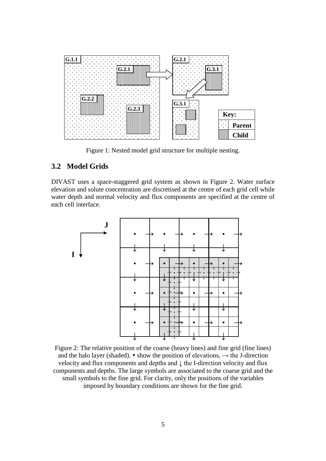

Figure 1: Nested model grid structure for multiple nesting.

## **3.2 Model Grids**

DIVAST uses a space-staggered grid system as shown in Figure 2. Water surface elevation and solute concentration are discretised at the centre of each grid cell while water depth and normal velocity and flux components are specified at the centre of each cell interface.



Figure 2: The relative position of the coarse (heavy lines) and fine grid (fine lines) and the halo layer (shaded).  $\bullet$  show the position of elevations,  $\rightarrow$  the J-direction velocity and flux components and depths and ↓ the I-direction velocity and flux components and depths. The large symbols are associated to the coarse grid and the small symbols to the fine grid. For clarity, only the positions of the variables imposed by boundary conditions are shown for the fine grid.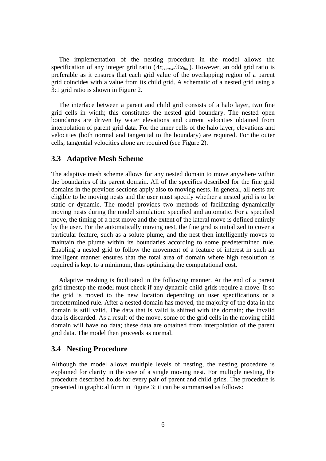The implementation of the nesting procedure in the model allows the specification of any integer grid ratio (*Δxcoarse/Δxfine*). However, an odd grid ratio is preferable as it ensures that each grid value of the overlapping region of a parent grid coincides with a value from its child grid. A schematic of a nested grid using a 3:1 grid ratio is shown in Figure 2.

The interface between a parent and child grid consists of a halo layer, two fine grid cells in width; this constitutes the nested grid boundary. The nested open boundaries are driven by water elevations and current velocities obtained from interpolation of parent grid data. For the inner cells of the halo layer, elevations and velocities (both normal and tangential to the boundary) are required. For the outer cells, tangential velocities alone are required (see Figure 2).

#### **3.3 Adaptive Mesh Scheme**

The adaptive mesh scheme allows for any nested domain to move anywhere within the boundaries of its parent domain. All of the specifics described for the fine grid domains in the previous sections apply also to moving nests. In general, all nests are eligible to be moving nests and the user must specify whether a nested grid is to be static or dynamic. The model provides two methods of facilitating dynamically moving nests during the model simulation: specified and automatic. For a specified move, the timing of a nest move and the extent of the lateral move is defined entirely by the user. For the automatically moving nest, the fine grid is initialized to cover a particular feature, such as a solute plume, and the nest then intelligently moves to maintain the plume within its boundaries according to some predetermined rule. Enabling a nested grid to follow the movement of a feature of interest in such an intelligent manner ensures that the total area of domain where high resolution is required is kept to a minimum, thus optimising the computational cost.

Adaptive meshing is facilitated in the following manner. At the end of a parent grid timestep the model must check if any dynamic child grids require a move. If so the grid is moved to the new location depending on user specifications or a predetermined rule. After a nested domain has moved, the majority of the data in the domain is still valid. The data that is valid is shifted with the domain; the invalid data is discarded. As a result of the move, some of the grid cells in the moving child domain will have no data; these data are obtained from interpolation of the parent grid data. The model then proceeds as normal.

#### **3.4 Nesting Procedure**

Although the model allows multiple levels of nesting, the nesting procedure is explained for clarity in the case of a single moving nest. For multiple nesting, the procedure described holds for every pair of parent and child grids. The procedure is presented in graphical form in Figure 3; it can be summarised as follows: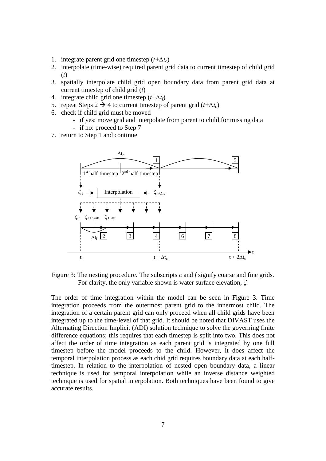- 1. integrate parent grid one timestep (*t+∆tc*)
- 2. interpolate (time-wise) required parent grid data to current timestep of child grid (*t*)
- 3. spatially interpolate child grid open boundary data from parent grid data at current timestep of child grid (*t*)
- 4. integrate child grid one timestep (*t+∆tf*)
- 5. repeat Steps 2  $\rightarrow$  4 to current timestep of parent grid ( $t+\Delta t_c$ )
- 6. check if child grid must be moved
	- if yes: move grid and interpolate from parent to child for missing data
	- if no: proceed to Step 7
- 7. return to Step 1 and continue



Figure 3: The nesting procedure. The subscripts *c* and *f* signify coarse and fine grids. For clarity, the only variable shown is water surface elevation, *ζ*.

The order of time integration within the model can be seen in Figure 3. Time integration proceeds from the outermost parent grid to the innermost child. The integration of a certain parent grid can only proceed when all child grids have been integrated up to the time-level of that grid. It should be noted that DIVAST uses the Alternating Direction Implicit (ADI) solution technique to solve the governing finite difference equations; this requires that each timestep is split into two. This does not affect the order of time integration as each parent grid is integrated by one full timestep before the model proceeds to the child. However, it does affect the temporal interpolation process as each chid grid requires boundary data at each halftimestep. In relation to the interpolation of nested open boundary data, a linear technique is used for temporal interpolation while an inverse distance weighted technique is used for spatial interpolation. Both techniques have been found to give accurate results.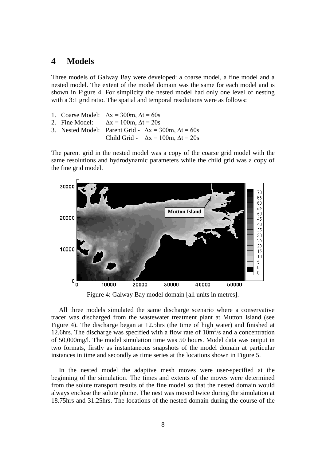### **4 Models**

Three models of Galway Bay were developed: a coarse model, a fine model and a nested model. The extent of the model domain was the same for each model and is shown in Figure 4. For simplicity the nested model had only one level of nesting with a 3:1 grid ratio. The spatial and temporal resolutions were as follows:

- 1. Coarse Model:  $\Delta x = 300$ m,  $\Delta t = 60$ s
- 2. Fine Model:  $\Delta x = 100$ m,  $\Delta t = 20s$
- 3. Nested Model: Parent Grid  $\Delta x = 300$ m,  $\Delta t = 60$ s
	- Child Grid  $\Delta x = 100$ m,  $\Delta t = 20s$

The parent grid in the nested model was a copy of the coarse grid model with the same resolutions and hydrodynamic parameters while the child grid was a copy of the fine grid model.



Figure 4: Galway Bay model domain [all units in metres].

All three models simulated the same discharge scenario where a conservative tracer was discharged from the wastewater treatment plant at Mutton Island (see Figure 4). The discharge began at 12.5hrs (the time of high water) and finished at 12.6hrs. The discharge was specified with a flow rate of  $10m<sup>3</sup>/s$  and a concentration of 50,000mg/l. The model simulation time was 50 hours. Model data was output in two formats, firstly as instantaneous snapshots of the model domain at particular instances in time and secondly as time series at the locations shown in Figure 5.

In the nested model the adaptive mesh moves were user-specified at the beginning of the simulation. The times and extents of the moves were determined from the solute transport results of the fine model so that the nested domain would always enclose the solute plume. The nest was moved twice during the simulation at 18.75hrs and 31.25hrs. The locations of the nested domain during the course of the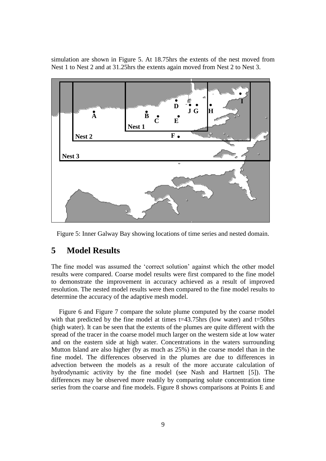simulation are shown in Figure 5. At 18.75hrs the extents of the nest moved from Nest 1 to Nest 2 and at 31.25hrs the extents again moved from Nest 2 to Nest 3.



Figure 5: Inner Galway Bay showing locations of time series and nested domain.

# **5 Model Results**

The fine model was assumed the 'correct solution' against which the other model results were compared. Coarse model results were first compared to the fine model to demonstrate the improvement in accuracy achieved as a result of improved resolution. The nested model results were then compared to the fine model results to determine the accuracy of the adaptive mesh model.

Figure 6 and Figure 7 compare the solute plume computed by the coarse model with that predicted by the fine model at times  $t=43.75$ hrs (low water) and  $t=50$ hrs (high water). It can be seen that the extents of the plumes are quite different with the spread of the tracer in the coarse model much larger on the western side at low water and on the eastern side at high water. Concentrations in the waters surrounding Mutton Island are also higher (by as much as 25%) in the coarse model than in the fine model. The differences observed in the plumes are due to differences in advection between the models as a result of the more accurate calculation of hydrodynamic activity by the fine model (see Nash and Hartnett [5]). The differences may be observed more readily by comparing solute concentration time series from the coarse and fine models. Figure 8 shows comparisons at Points E and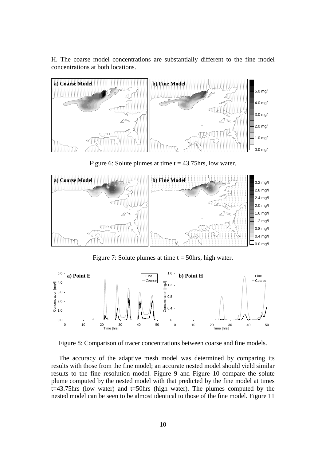H. The coarse model concentrations are substantially different to the fine model concentrations at both locations.



Figure 6: Solute plumes at time  $t = 43.75$ hrs, low water.



Figure 7: Solute plumes at time  $t = 50$ hrs, high water.



Figure 8: Comparison of tracer concentrations between coarse and fine models.

The accuracy of the adaptive mesh model was determined by comparing its results with those from the fine model; an accurate nested model should yield similar results to the fine resolution model. Figure 9 and Figure 10 compare the solute plume computed by the nested model with that predicted by the fine model at times t=43.75hrs (low water) and t=50hrs (high water). The plumes computed by the nested model can be seen to be almost identical to those of the fine model. Figure 11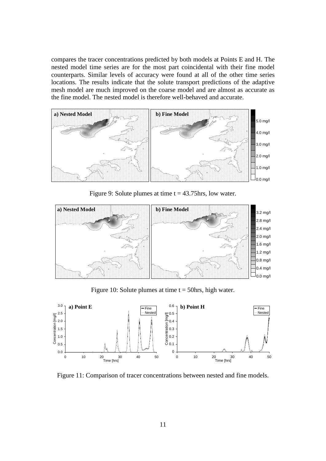compares the tracer concentrations predicted by both models at Points E and H. The nested model time series are for the most part coincidental with their fine model counterparts. Similar levels of accuracy were found at all of the other time series locations. The results indicate that the solute transport predictions of the adaptive mesh model are much improved on the coarse model and are almost as accurate as the fine model. The nested model is therefore well-behaved and accurate.



Figure 9: Solute plumes at time  $t = 43.75$ hrs, low water.



Figure 10: Solute plumes at time  $t = 50$ hrs, high water.



Figure 11: Comparison of tracer concentrations between nested and fine models.